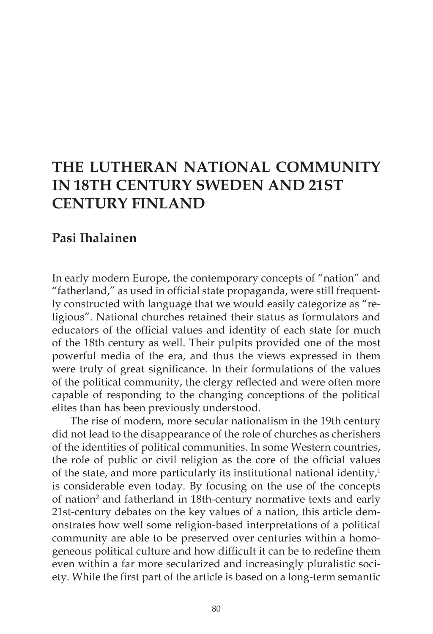# **THE LUTHERAN NATIONAL COMMUNITY IN 18TH CENTURY SWEDEN AND 21ST CENTURY FINLAND**

# **Pasi Ihalainen**

In early modern Europe, the contemporary concepts of "nation" and "fatherland," as used in official state propaganda, were still frequently constructed with language that we would easily categorize as "religious". National churches retained their status as formulators and educators of the official values and identity of each state for much of the 18th century as well. Their pulpits provided one of the most powerful media of the era, and thus the views expressed in them were truly of great significance. In their formulations of the values of the political community, the clergy reflected and were often more capable of responding to the changing conceptions of the political elites than has been previously understood.

The rise of modern, more secular nationalism in the 19th century did not lead to the disappearance of the role of churches as cherishers of the identities of political communities. In some Western countries, the role of public or civil religion as the core of the official values of the state, and more particularly its institutional national identity,<sup>1</sup> is considerable even today. By focusing on the use of the concepts of nation2 and fatherland in 18th-century normative texts and early 21st-century debates on the key values of a nation, this article demonstrates how well some religion-based interpretations of a political community are able to be preserved over centuries within a homogeneous political culture and how difficult it can be to redefine them even within a far more secularized and increasingly pluralistic society. While the first part of the article is based on a long-term semantic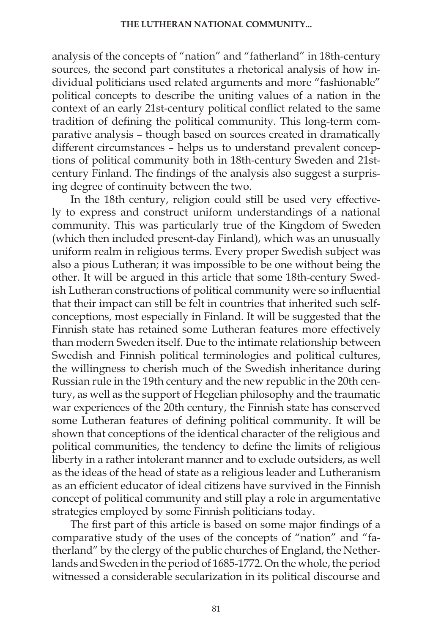analysis of the concepts of "nation" and "fatherland" in 18th-century sources, the second part constitutes a rhetorical analysis of how individual politicians used related arguments and more "fashionable" political concepts to describe the uniting values of a nation in the context of an early 21st-century political conflict related to the same tradition of defining the political community. This long-term comparative analysis – though based on sources created in dramatically different circumstances – helps us to understand prevalent conceptions of political community both in 18th-century Sweden and 21stcentury Finland. The findings of the analysis also suggest a surprising degree of continuity between the two.

In the 18th century, religion could still be used very effectively to express and construct uniform understandings of a national community. This was particularly true of the Kingdom of Sweden (which then included present-day Finland), which was an unusually uniform realm in religious terms. Every proper Swedish subject was also a pious Lutheran; it was impossible to be one without being the other. It will be argued in this article that some 18th-century Swedish Lutheran constructions of political community were so influential that their impact can still be felt in countries that inherited such selfconceptions, most especially in Finland. It will be suggested that the Finnish state has retained some Lutheran features more effectively than modern Sweden itself. Due to the intimate relationship between Swedish and Finnish political terminologies and political cultures, the willingness to cherish much of the Swedish inheritance during Russian rule in the 19th century and the new republic in the 20th century, as well as the support of Hegelian philosophy and the traumatic war experiences of the 20th century, the Finnish state has conserved some Lutheran features of defining political community. It will be shown that conceptions of the identical character of the religious and political communities, the tendency to define the limits of religious liberty in a rather intolerant manner and to exclude outsiders, as well as the ideas of the head of state as a religious leader and Lutheranism as an efficient educator of ideal citizens have survived in the Finnish concept of political community and still play a role in argumentative strategies employed by some Finnish politicians today.

The first part of this article is based on some major findings of a comparative study of the uses of the concepts of "nation" and "fatherland" by the clergy of the public churches of England, the Netherlands and Sweden in the period of 1685-1772. On the whole, the period witnessed a considerable secularization in its political discourse and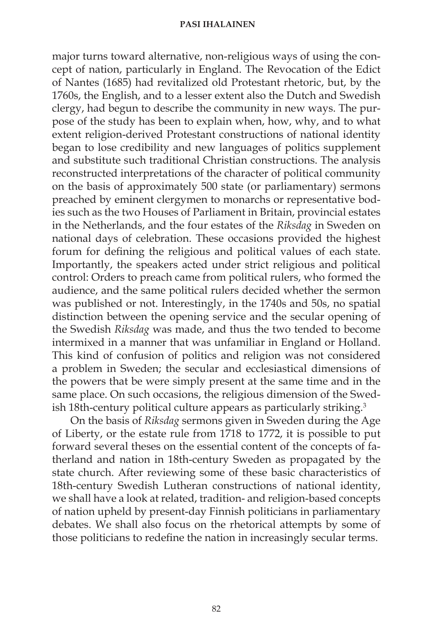major turns toward alternative, non-religious ways of using the concept of nation, particularly in England. The Revocation of the Edict of Nantes (1685) had revitalized old Protestant rhetoric, but, by the 1760s, the English, and to a lesser extent also the Dutch and Swedish clergy, had begun to describe the community in new ways. The purpose of the study has been to explain when, how, why, and to what extent religion-derived Protestant constructions of national identity began to lose credibility and new languages of politics supplement and substitute such traditional Christian constructions. The analysis reconstructed interpretations of the character of political community on the basis of approximately 500 state (or parliamentary) sermons preached by eminent clergymen to monarchs or representative bodies such as the two Houses of Parliament in Britain, provincial estates in the Netherlands, and the four estates of the *Riksdag* in Sweden on national days of celebration. These occasions provided the highest forum for defining the religious and political values of each state. Importantly, the speakers acted under strict religious and political control: Orders to preach came from political rulers, who formed the audience, and the same political rulers decided whether the sermon was published or not. Interestingly, in the 1740s and 50s, no spatial distinction between the opening service and the secular opening of the Swedish *Riksdag* was made, and thus the two tended to become intermixed in a manner that was unfamiliar in England or Holland. This kind of confusion of politics and religion was not considered a problem in Sweden; the secular and ecclesiastical dimensions of the powers that be were simply present at the same time and in the same place. On such occasions, the religious dimension of the Swedish 18th-century political culture appears as particularly striking.<sup>3</sup>

On the basis of *Riksdag* sermons given in Sweden during the Age of Liberty, or the estate rule from 1718 to 1772, it is possible to put forward several theses on the essential content of the concepts of fatherland and nation in 18th-century Sweden as propagated by the state church. After reviewing some of these basic characteristics of 18th-century Swedish Lutheran constructions of national identity, we shall have a look at related, tradition- and religion-based concepts of nation upheld by present-day Finnish politicians in parliamentary debates. We shall also focus on the rhetorical attempts by some of those politicians to redefine the nation in increasingly secular terms.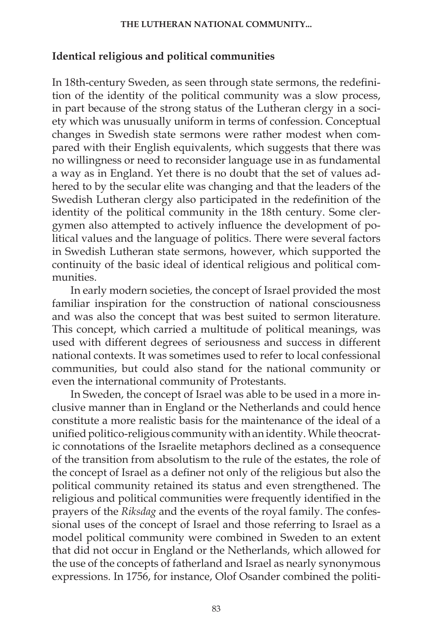## **THE LUTHERAN NATIONAL COMMUNITY...**

## **Identical religious and political communities**

In 18th-century Sweden, as seen through state sermons, the redefinition of the identity of the political community was a slow process, in part because of the strong status of the Lutheran clergy in a society which was unusually uniform in terms of confession. Conceptual changes in Swedish state sermons were rather modest when compared with their English equivalents, which suggests that there was no willingness or need to reconsider language use in as fundamental a way as in England. Yet there is no doubt that the set of values adhered to by the secular elite was changing and that the leaders of the Swedish Lutheran clergy also participated in the redefinition of the identity of the political community in the 18th century. Some clergymen also attempted to actively influence the development of political values and the language of politics. There were several factors in Swedish Lutheran state sermons, however, which supported the continuity of the basic ideal of identical religious and political communities.

In early modern societies, the concept of Israel provided the most familiar inspiration for the construction of national consciousness and was also the concept that was best suited to sermon literature. This concept, which carried a multitude of political meanings, was used with different degrees of seriousness and success in different national contexts. It was sometimes used to refer to local confessional communities, but could also stand for the national community or even the international community of Protestants.

In Sweden, the concept of Israel was able to be used in a more inclusive manner than in England or the Netherlands and could hence constitute a more realistic basis for the maintenance of the ideal of a unified politico-religious community with an identity. While theocratic connotations of the Israelite metaphors declined as a consequence of the transition from absolutism to the rule of the estates, the role of the concept of Israel as a definer not only of the religious but also the political community retained its status and even strengthened. The religious and political communities were frequently identified in the prayers of the *Riksdag* and the events of the royal family. The confessional uses of the concept of Israel and those referring to Israel as a model political community were combined in Sweden to an extent that did not occur in England or the Netherlands, which allowed for the use of the concepts of fatherland and Israel as nearly synonymous expressions. In 1756, for instance, Olof Osander combined the politi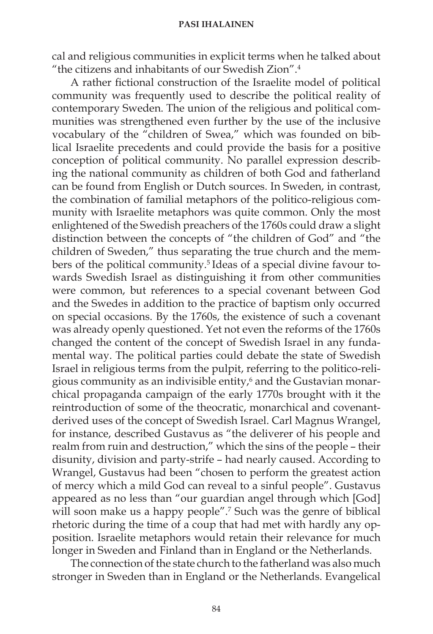cal and religious communities in explicit terms when he talked about "the citizens and inhabitants of our Swedish Zion".4

A rather fictional construction of the Israelite model of political community was frequently used to describe the political reality of contemporary Sweden. The union of the religious and political communities was strengthened even further by the use of the inclusive vocabulary of the "children of Swea," which was founded on biblical Israelite precedents and could provide the basis for a positive conception of political community. No parallel expression describing the national community as children of both God and fatherland can be found from English or Dutch sources. In Sweden, in contrast, the combination of familial metaphors of the politico-religious community with Israelite metaphors was quite common. Only the most enlightened of the Swedish preachers of the 1760s could draw a slight distinction between the concepts of "the children of God" and "the children of Sweden," thus separating the true church and the members of the political community.<sup>5</sup> Ideas of a special divine favour towards Swedish Israel as distinguishing it from other communities were common, but references to a special covenant between God and the Swedes in addition to the practice of baptism only occurred on special occasions. By the 1760s, the existence of such a covenant was already openly questioned. Yet not even the reforms of the 1760s changed the content of the concept of Swedish Israel in any fundamental way. The political parties could debate the state of Swedish Israel in religious terms from the pulpit, referring to the politico-religious community as an indivisible entity, $6$  and the Gustavian monarchical propaganda campaign of the early 1770s brought with it the reintroduction of some of the theocratic, monarchical and covenantderived uses of the concept of Swedish Israel. Carl Magnus Wrangel, for instance, described Gustavus as "the deliverer of his people and realm from ruin and destruction," which the sins of the people – their disunity, division and party-strife – had nearly caused. According to Wrangel, Gustavus had been "chosen to perform the greatest action of mercy which a mild God can reveal to a sinful people". Gustavus appeared as no less than "our guardian angel through which [God] will soon make us a happy people".<sup>7</sup> Such was the genre of biblical rhetoric during the time of a coup that had met with hardly any opposition. Israelite metaphors would retain their relevance for much longer in Sweden and Finland than in England or the Netherlands.

The connection of the state church to the fatherland was also much stronger in Sweden than in England or the Netherlands. Evangelical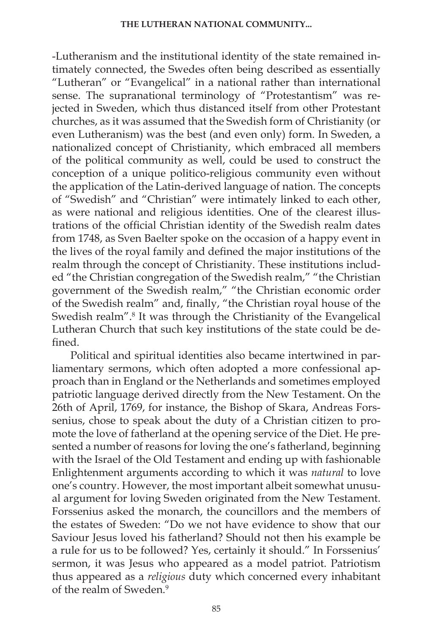-Lutheranism and the institutional identity of the state remained intimately connected, the Swedes often being described as essentially "Lutheran" or "Evangelical" in a national rather than international sense. The supranational terminology of "Protestantism" was rejected in Sweden, which thus distanced itself from other Protestant churches, as it was assumed that the Swedish form of Christianity (or even Lutheranism) was the best (and even only) form. In Sweden, a nationalized concept of Christianity, which embraced all members of the political community as well, could be used to construct the conception of a unique politico-religious community even without the application of the Latin-derived language of nation. The concepts of "Swedish" and "Christian" were intimately linked to each other, as were national and religious identities. One of the clearest illustrations of the official Christian identity of the Swedish realm dates from 1748, as Sven Baelter spoke on the occasion of a happy event in the lives of the royal family and defined the major institutions of the realm through the concept of Christianity. These institutions included "the Christian congregation of the Swedish realm," "the Christian government of the Swedish realm," "the Christian economic order of the Swedish realm" and, finally, "the Christian royal house of the Swedish realm".<sup>8</sup> It was through the Christianity of the Evangelical Lutheran Church that such key institutions of the state could be defined.

Political and spiritual identities also became intertwined in parliamentary sermons, which often adopted a more confessional approach than in England or the Netherlands and sometimes employed patriotic language derived directly from the New Testament. On the 26th of April, 1769, for instance, the Bishop of Skara, Andreas Forssenius, chose to speak about the duty of a Christian citizen to promote the love of fatherland at the opening service of the Diet. He presented a number of reasons for loving the one's fatherland, beginning with the Israel of the Old Testament and ending up with fashionable Enlightenment arguments according to which it was *natural* to love one's country. However, the most important albeit somewhat unusual argument for loving Sweden originated from the New Testament. Forssenius asked the monarch, the councillors and the members of the estates of Sweden: "Do we not have evidence to show that our Saviour Jesus loved his fatherland? Should not then his example be a rule for us to be followed? Yes, certainly it should." In Forssenius' sermon, it was Jesus who appeared as a model patriot. Patriotism thus appeared as a *religious* duty which concerned every inhabitant of the realm of Sweden.9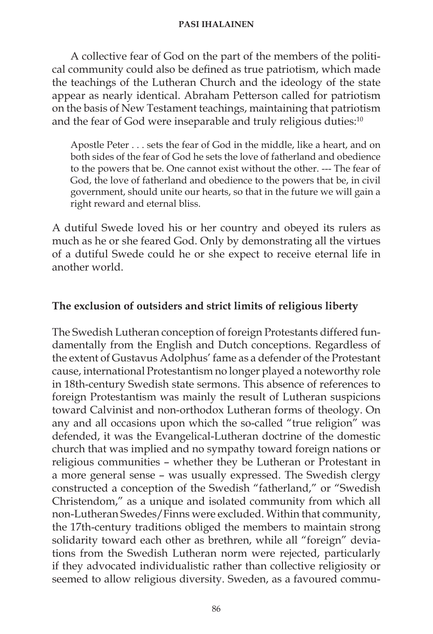A collective fear of God on the part of the members of the political community could also be defined as true patriotism, which made the teachings of the Lutheran Church and the ideology of the state appear as nearly identical. Abraham Petterson called for patriotism on the basis of New Testament teachings, maintaining that patriotism and the fear of God were inseparable and truly religious duties:<sup>10</sup>

Apostle Peter . . . sets the fear of God in the middle, like a heart, and on both sides of the fear of God he sets the love of fatherland and obedience to the powers that be. One cannot exist without the other. --- The fear of God, the love of fatherland and obedience to the powers that be, in civil government, should unite our hearts, so that in the future we will gain a right reward and eternal bliss.

A dutiful Swede loved his or her country and obeyed its rulers as much as he or she feared God. Only by demonstrating all the virtues of a dutiful Swede could he or she expect to receive eternal life in another world.

## **The exclusion of outsiders and strict limits of religious liberty**

The Swedish Lutheran conception of foreign Protestants differed fundamentally from the English and Dutch conceptions. Regardless of the extent of Gustavus Adolphus' fame as a defender of the Protestant cause, international Protestantism no longer played a noteworthy role in 18th-century Swedish state sermons. This absence of references to foreign Protestantism was mainly the result of Lutheran suspicions toward Calvinist and non-orthodox Lutheran forms of theology. On any and all occasions upon which the so-called "true religion" was defended, it was the Evangelical-Lutheran doctrine of the domestic church that was implied and no sympathy toward foreign nations or religious communities – whether they be Lutheran or Protestant in a more general sense – was usually expressed. The Swedish clergy constructed a conception of the Swedish "fatherland," or "Swedish Christendom," as a unique and isolated community from which all non-Lutheran Swedes/Finns were excluded. Within that community, the 17th-century traditions obliged the members to maintain strong solidarity toward each other as brethren, while all "foreign" deviations from the Swedish Lutheran norm were rejected, particularly if they advocated individualistic rather than collective religiosity or seemed to allow religious diversity. Sweden, as a favoured commu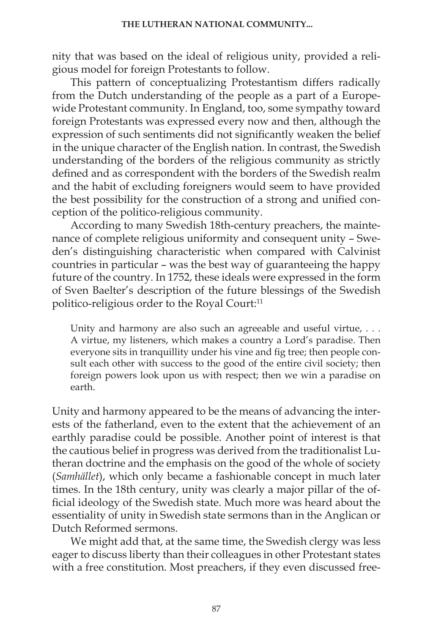nity that was based on the ideal of religious unity, provided a religious model for foreign Protestants to follow.

This pattern of conceptualizing Protestantism differs radically from the Dutch understanding of the people as a part of a Europewide Protestant community. In England, too, some sympathy toward foreign Protestants was expressed every now and then, although the expression of such sentiments did not significantly weaken the belief in the unique character of the English nation. In contrast, the Swedish understanding of the borders of the religious community as strictly defined and as correspondent with the borders of the Swedish realm and the habit of excluding foreigners would seem to have provided the best possibility for the construction of a strong and unified conception of the politico-religious community.

According to many Swedish 18th-century preachers, the maintenance of complete religious uniformity and consequent unity – Sweden's distinguishing characteristic when compared with Calvinist countries in particular – was the best way of guaranteeing the happy future of the country. In 1752, these ideals were expressed in the form of Sven Baelter's description of the future blessings of the Swedish politico-religious order to the Royal Court:<sup>11</sup>

Unity and harmony are also such an agreeable and useful virtue, . . . A virtue, my listeners, which makes a country a Lord's paradise. Then everyone sits in tranquillity under his vine and fig tree; then people consult each other with success to the good of the entire civil society; then foreign powers look upon us with respect; then we win a paradise on earth.

Unity and harmony appeared to be the means of advancing the interests of the fatherland, even to the extent that the achievement of an earthly paradise could be possible. Another point of interest is that the cautious belief in progress was derived from the traditionalist Lutheran doctrine and the emphasis on the good of the whole of society (*Samhället*), which only became a fashionable concept in much later times. In the 18th century, unity was clearly a major pillar of the official ideology of the Swedish state. Much more was heard about the essentiality of unity in Swedish state sermons than in the Anglican or Dutch Reformed sermons.

We might add that, at the same time, the Swedish clergy was less eager to discuss liberty than their colleagues in other Protestant states with a free constitution. Most preachers, if they even discussed free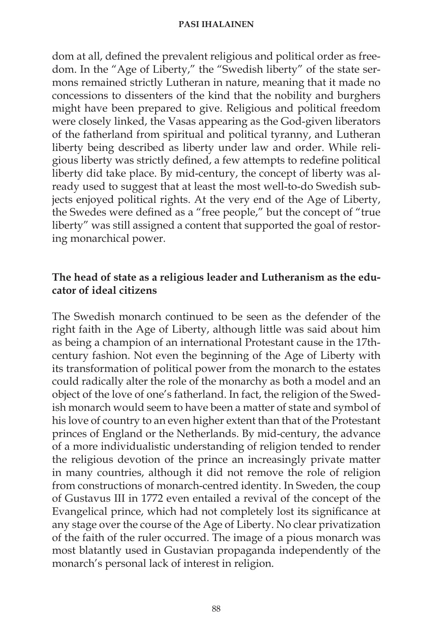dom at all, defined the prevalent religious and political order as freedom. In the "Age of Liberty," the "Swedish liberty" of the state sermons remained strictly Lutheran in nature, meaning that it made no concessions to dissenters of the kind that the nobility and burghers might have been prepared to give. Religious and political freedom were closely linked, the Vasas appearing as the God-given liberators of the fatherland from spiritual and political tyranny, and Lutheran liberty being described as liberty under law and order. While religious liberty was strictly defined, a few attempts to redefine political liberty did take place. By mid-century, the concept of liberty was already used to suggest that at least the most well-to-do Swedish subjects enjoyed political rights. At the very end of the Age of Liberty, the Swedes were defined as a "free people," but the concept of "true liberty" was still assigned a content that supported the goal of restoring monarchical power.

# **The head of state as a religious leader and Lutheranism as the educator of ideal citizens**

The Swedish monarch continued to be seen as the defender of the right faith in the Age of Liberty, although little was said about him as being a champion of an international Protestant cause in the 17thcentury fashion. Not even the beginning of the Age of Liberty with its transformation of political power from the monarch to the estates could radically alter the role of the monarchy as both a model and an object of the love of one's fatherland. In fact, the religion of the Swedish monarch would seem to have been a matter of state and symbol of his love of country to an even higher extent than that of the Protestant princes of England or the Netherlands. By mid-century, the advance of a more individualistic understanding of religion tended to render the religious devotion of the prince an increasingly private matter in many countries, although it did not remove the role of religion from constructions of monarch-centred identity. In Sweden, the coup of Gustavus III in 1772 even entailed a revival of the concept of the Evangelical prince, which had not completely lost its significance at any stage over the course of the Age of Liberty. No clear privatization of the faith of the ruler occurred. The image of a pious monarch was most blatantly used in Gustavian propaganda independently of the monarch's personal lack of interest in religion.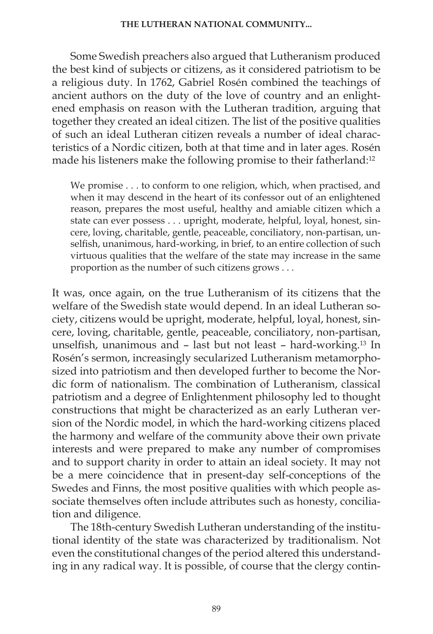## **THE LUTHERAN NATIONAL COMMUNITY...**

Some Swedish preachers also argued that Lutheranism produced the best kind of subjects or citizens, as it considered patriotism to be a religious duty. In 1762, Gabriel Rosén combined the teachings of ancient authors on the duty of the love of country and an enlightened emphasis on reason with the Lutheran tradition, arguing that together they created an ideal citizen. The list of the positive qualities of such an ideal Lutheran citizen reveals a number of ideal characteristics of a Nordic citizen, both at that time and in later ages. Rosén made his listeners make the following promise to their fatherland:12

We promise . . . to conform to one religion, which, when practised, and when it may descend in the heart of its confessor out of an enlightened reason, prepares the most useful, healthy and amiable citizen which a state can ever possess . . . upright, moderate, helpful, loyal, honest, sincere, loving, charitable, gentle, peaceable, conciliatory, non-partisan, unselfish, unanimous, hard-working, in brief, to an entire collection of such virtuous qualities that the welfare of the state may increase in the same proportion as the number of such citizens grows . . .

It was, once again, on the true Lutheranism of its citizens that the welfare of the Swedish state would depend. In an ideal Lutheran society, citizens would be upright, moderate, helpful, loyal, honest, sincere, loving, charitable, gentle, peaceable, conciliatory, non-partisan, unselfish, unanimous and – last but not least – hard-working.13 In Rosén's sermon, increasingly secularized Lutheranism metamorphosized into patriotism and then developed further to become the Nordic form of nationalism. The combination of Lutheranism, classical patriotism and a degree of Enlightenment philosophy led to thought constructions that might be characterized as an early Lutheran version of the Nordic model, in which the hard-working citizens placed the harmony and welfare of the community above their own private interests and were prepared to make any number of compromises and to support charity in order to attain an ideal society. It may not be a mere coincidence that in present-day self-conceptions of the Swedes and Finns, the most positive qualities with which people associate themselves often include attributes such as honesty, conciliation and diligence.

The 18th-century Swedish Lutheran understanding of the institutional identity of the state was characterized by traditionalism. Not even the constitutional changes of the period altered this understanding in any radical way. It is possible, of course that the clergy contin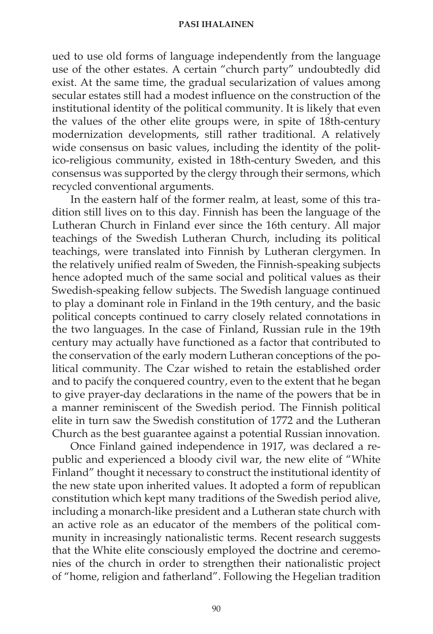ued to use old forms of language independently from the language use of the other estates. A certain "church party" undoubtedly did exist. At the same time, the gradual secularization of values among secular estates still had a modest influence on the construction of the institutional identity of the political community. It is likely that even the values of the other elite groups were, in spite of 18th-century modernization developments, still rather traditional. A relatively wide consensus on basic values, including the identity of the politico-religious community, existed in 18th-century Sweden, and this consensus was supported by the clergy through their sermons, which recycled conventional arguments.

In the eastern half of the former realm, at least, some of this tradition still lives on to this day. Finnish has been the language of the Lutheran Church in Finland ever since the 16th century. All major teachings of the Swedish Lutheran Church, including its political teachings, were translated into Finnish by Lutheran clergymen. In the relatively unified realm of Sweden, the Finnish-speaking subjects hence adopted much of the same social and political values as their Swedish-speaking fellow subjects. The Swedish language continued to play a dominant role in Finland in the 19th century, and the basic political concepts continued to carry closely related connotations in the two languages. In the case of Finland, Russian rule in the 19th century may actually have functioned as a factor that contributed to the conservation of the early modern Lutheran conceptions of the political community. The Czar wished to retain the established order and to pacify the conquered country, even to the extent that he began to give prayer-day declarations in the name of the powers that be in a manner reminiscent of the Swedish period. The Finnish political elite in turn saw the Swedish constitution of 1772 and the Lutheran Church as the best guarantee against a potential Russian innovation.

Once Finland gained independence in 1917, was declared a republic and experienced a bloody civil war, the new elite of "White Finland" thought it necessary to construct the institutional identity of the new state upon inherited values. It adopted a form of republican constitution which kept many traditions of the Swedish period alive, including a monarch-like president and a Lutheran state church with an active role as an educator of the members of the political community in increasingly nationalistic terms. Recent research suggests that the White elite consciously employed the doctrine and ceremonies of the church in order to strengthen their nationalistic project of "home, religion and fatherland". Following the Hegelian tradition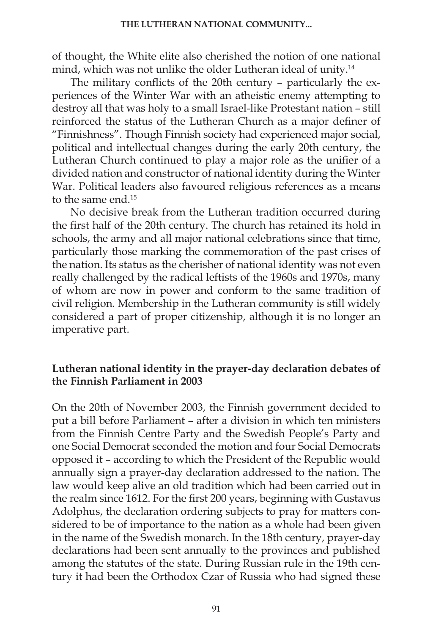of thought, the White elite also cherished the notion of one national mind, which was not unlike the older Lutheran ideal of unity.14

The military conflicts of the 20th century – particularly the experiences of the Winter War with an atheistic enemy attempting to destroy all that was holy to a small Israel-like Protestant nation – still reinforced the status of the Lutheran Church as a major definer of "Finnishness". Though Finnish society had experienced major social, political and intellectual changes during the early 20th century, the Lutheran Church continued to play a major role as the unifier of a divided nation and constructor of national identity during the Winter War. Political leaders also favoured religious references as a means to the same end.15

No decisive break from the Lutheran tradition occurred during the first half of the 20th century. The church has retained its hold in schools, the army and all major national celebrations since that time, particularly those marking the commemoration of the past crises of the nation. Its status as the cherisher of national identity was not even really challenged by the radical leftists of the 1960s and 1970s, many of whom are now in power and conform to the same tradition of civil religion. Membership in the Lutheran community is still widely considered a part of proper citizenship, although it is no longer an imperative part.

# **Lutheran national identity in the prayer-day declaration debates of the Finnish Parliament in 2003**

On the 20th of November 2003, the Finnish government decided to put a bill before Parliament – after a division in which ten ministers from the Finnish Centre Party and the Swedish People's Party and one Social Democrat seconded the motion and four Social Democrats opposed it – according to which the President of the Republic would annually sign a prayer-day declaration addressed to the nation. The law would keep alive an old tradition which had been carried out in the realm since 1612. For the first 200 years, beginning with Gustavus Adolphus, the declaration ordering subjects to pray for matters considered to be of importance to the nation as a whole had been given in the name of the Swedish monarch. In the 18th century, prayer-day declarations had been sent annually to the provinces and published among the statutes of the state. During Russian rule in the 19th century it had been the Orthodox Czar of Russia who had signed these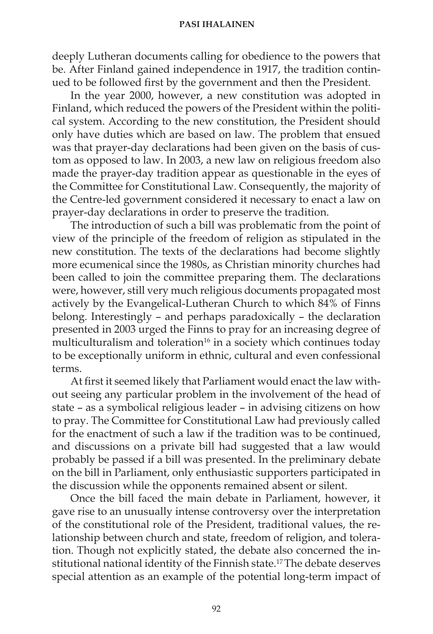deeply Lutheran documents calling for obedience to the powers that be. After Finland gained independence in 1917, the tradition continued to be followed first by the government and then the President.

In the year 2000, however, a new constitution was adopted in Finland, which reduced the powers of the President within the political system. According to the new constitution, the President should only have duties which are based on law. The problem that ensued was that prayer-day declarations had been given on the basis of custom as opposed to law. In 2003, a new law on religious freedom also made the prayer-day tradition appear as questionable in the eyes of the Committee for Constitutional Law. Consequently, the majority of the Centre-led government considered it necessary to enact a law on prayer-day declarations in order to preserve the tradition.

The introduction of such a bill was problematic from the point of view of the principle of the freedom of religion as stipulated in the new constitution. The texts of the declarations had become slightly more ecumenical since the 1980s, as Christian minority churches had been called to join the committee preparing them. The declarations were, however, still very much religious documents propagated most actively by the Evangelical-Lutheran Church to which 84% of Finns belong. Interestingly – and perhaps paradoxically – the declaration presented in 2003 urged the Finns to pray for an increasing degree of multiculturalism and toleration<sup>16</sup> in a society which continues today to be exceptionally uniform in ethnic, cultural and even confessional terms.

At first it seemed likely that Parliament would enact the law without seeing any particular problem in the involvement of the head of state – as a symbolical religious leader – in advising citizens on how to pray. The Committee for Constitutional Law had previously called for the enactment of such a law if the tradition was to be continued, and discussions on a private bill had suggested that a law would probably be passed if a bill was presented. In the preliminary debate on the bill in Parliament, only enthusiastic supporters participated in the discussion while the opponents remained absent or silent.

Once the bill faced the main debate in Parliament, however, it gave rise to an unusually intense controversy over the interpretation of the constitutional role of the President, traditional values, the relationship between church and state, freedom of religion, and toleration. Though not explicitly stated, the debate also concerned the institutional national identity of the Finnish state.17 The debate deserves special attention as an example of the potential long-term impact of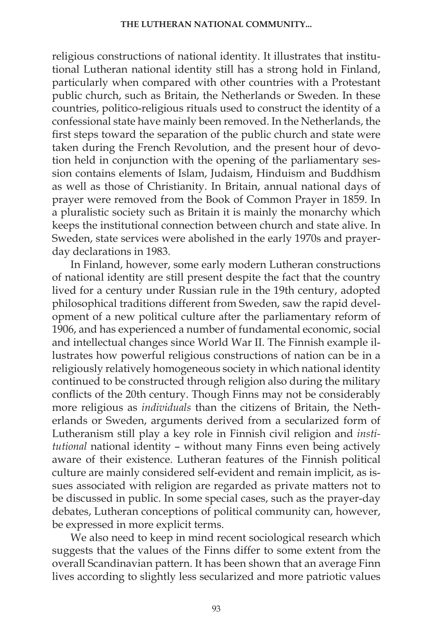religious constructions of national identity. It illustrates that institutional Lutheran national identity still has a strong hold in Finland, particularly when compared with other countries with a Protestant public church, such as Britain, the Netherlands or Sweden. In these countries, politico-religious rituals used to construct the identity of a confessional state have mainly been removed. In the Netherlands, the first steps toward the separation of the public church and state were taken during the French Revolution, and the present hour of devotion held in conjunction with the opening of the parliamentary session contains elements of Islam, Judaism, Hinduism and Buddhism as well as those of Christianity. In Britain, annual national days of prayer were removed from the Book of Common Prayer in 1859. In a pluralistic society such as Britain it is mainly the monarchy which keeps the institutional connection between church and state alive. In Sweden, state services were abolished in the early 1970s and prayerday declarations in 1983.

In Finland, however, some early modern Lutheran constructions of national identity are still present despite the fact that the country lived for a century under Russian rule in the 19th century, adopted philosophical traditions different from Sweden, saw the rapid development of a new political culture after the parliamentary reform of 1906, and has experienced a number of fundamental economic, social and intellectual changes since World War II. The Finnish example illustrates how powerful religious constructions of nation can be in a religiously relatively homogeneous society in which national identity continued to be constructed through religion also during the military conflicts of the 20th century. Though Finns may not be considerably more religious as *individuals* than the citizens of Britain, the Netherlands or Sweden, arguments derived from a secularized form of Lutheranism still play a key role in Finnish civil religion and *institutional* national identity – without many Finns even being actively aware of their existence. Lutheran features of the Finnish political culture are mainly considered self-evident and remain implicit, as issues associated with religion are regarded as private matters not to be discussed in public. In some special cases, such as the prayer-day debates, Lutheran conceptions of political community can, however, be expressed in more explicit terms.

We also need to keep in mind recent sociological research which suggests that the values of the Finns differ to some extent from the overall Scandinavian pattern. It has been shown that an average Finn lives according to slightly less secularized and more patriotic values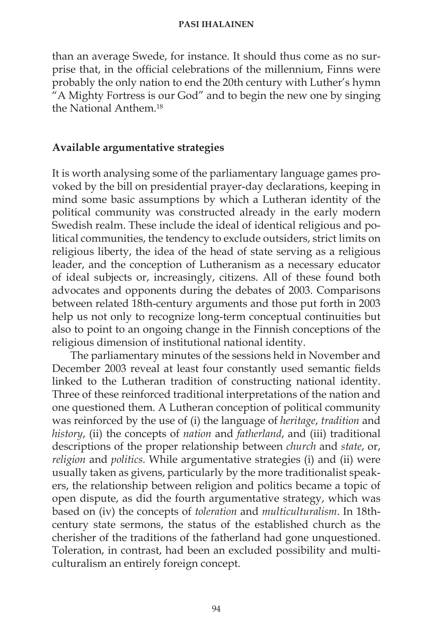than an average Swede, for instance. It should thus come as no surprise that, in the official celebrations of the millennium, Finns were probably the only nation to end the 20th century with Luther's hymn "A Mighty Fortress is our God" and to begin the new one by singing the National Anthem.18

## **Available argumentative strategies**

It is worth analysing some of the parliamentary language games provoked by the bill on presidential prayer-day declarations, keeping in mind some basic assumptions by which a Lutheran identity of the political community was constructed already in the early modern Swedish realm. These include the ideal of identical religious and political communities, the tendency to exclude outsiders, strict limits on religious liberty, the idea of the head of state serving as a religious leader, and the conception of Lutheranism as a necessary educator of ideal subjects or, increasingly, citizens. All of these found both advocates and opponents during the debates of 2003. Comparisons between related 18th-century arguments and those put forth in 2003 help us not only to recognize long-term conceptual continuities but also to point to an ongoing change in the Finnish conceptions of the religious dimension of institutional national identity.

The parliamentary minutes of the sessions held in November and December 2003 reveal at least four constantly used semantic fields linked to the Lutheran tradition of constructing national identity. Three of these reinforced traditional interpretations of the nation and one questioned them. A Lutheran conception of political community was reinforced by the use of (i) the language of *heritage*, *tradition* and *history*, (ii) the concepts of *nation* and *fatherland*, and (iii) traditional descriptions of the proper relationship between *church* and *state*, or, *religion* and *politics*. While argumentative strategies (i) and (ii) were usually taken as givens, particularly by the more traditionalist speakers, the relationship between religion and politics became a topic of open dispute, as did the fourth argumentative strategy, which was based on (iv) the concepts of *toleration* and *multiculturalism*. In 18thcentury state sermons, the status of the established church as the cherisher of the traditions of the fatherland had gone unquestioned. Toleration, in contrast, had been an excluded possibility and multiculturalism an entirely foreign concept.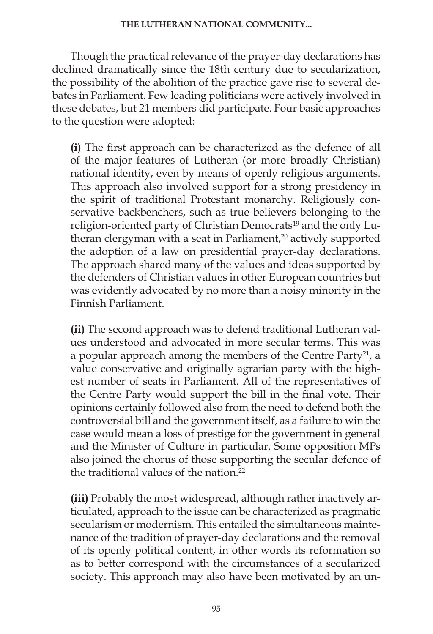## **THE LUTHERAN NATIONAL COMMUNITY...**

Though the practical relevance of the prayer-day declarations has declined dramatically since the 18th century due to secularization, the possibility of the abolition of the practice gave rise to several debates in Parliament. Few leading politicians were actively involved in these debates, but 21 members did participate. Four basic approaches to the question were adopted:

**(i)** The first approach can be characterized as the defence of all of the major features of Lutheran (or more broadly Christian) national identity, even by means of openly religious arguments. This approach also involved support for a strong presidency in the spirit of traditional Protestant monarchy. Religiously conservative backbenchers, such as true believers belonging to the religion-oriented party of Christian Democrats<sup>19</sup> and the only Lutheran clergyman with a seat in Parliament, $20$  actively supported the adoption of a law on presidential prayer-day declarations. The approach shared many of the values and ideas supported by the defenders of Christian values in other European countries but was evidently advocated by no more than a noisy minority in the Finnish Parliament.

**(ii)** The second approach was to defend traditional Lutheran values understood and advocated in more secular terms. This was a popular approach among the members of the Centre Party<sup>21</sup>, a value conservative and originally agrarian party with the highest number of seats in Parliament. All of the representatives of the Centre Party would support the bill in the final vote. Their opinions certainly followed also from the need to defend both the controversial bill and the government itself, as a failure to win the case would mean a loss of prestige for the government in general and the Minister of Culture in particular. Some opposition MPs also joined the chorus of those supporting the secular defence of the traditional values of the nation.<sup>22</sup>

**(iii)** Probably the most widespread, although rather inactively articulated, approach to the issue can be characterized as pragmatic secularism or modernism. This entailed the simultaneous maintenance of the tradition of prayer-day declarations and the removal of its openly political content, in other words its reformation so as to better correspond with the circumstances of a secularized society. This approach may also have been motivated by an un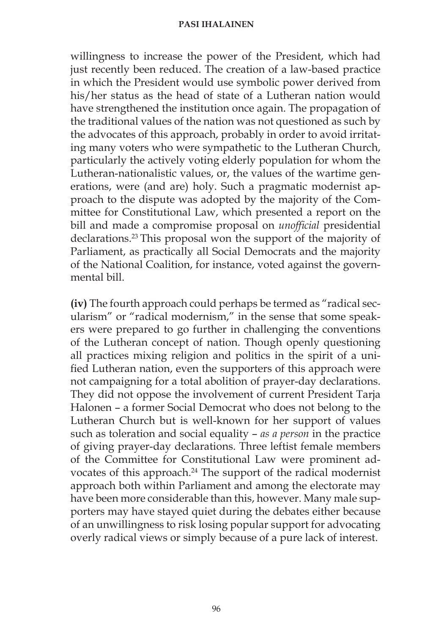willingness to increase the power of the President, which had just recently been reduced. The creation of a law-based practice in which the President would use symbolic power derived from his/her status as the head of state of a Lutheran nation would have strengthened the institution once again. The propagation of the traditional values of the nation was not questioned as such by the advocates of this approach, probably in order to avoid irritating many voters who were sympathetic to the Lutheran Church, particularly the actively voting elderly population for whom the Lutheran-nationalistic values, or, the values of the wartime generations, were (and are) holy. Such a pragmatic modernist approach to the dispute was adopted by the majority of the Committee for Constitutional Law, which presented a report on the bill and made a compromise proposal on *unofficial* presidential declarations.23 This proposal won the support of the majority of Parliament, as practically all Social Democrats and the majority of the National Coalition, for instance, voted against the governmental bill.

**(iv)** The fourth approach could perhaps be termed as "radical secularism" or "radical modernism," in the sense that some speakers were prepared to go further in challenging the conventions of the Lutheran concept of nation. Though openly questioning all practices mixing religion and politics in the spirit of a unified Lutheran nation, even the supporters of this approach were not campaigning for a total abolition of prayer-day declarations. They did not oppose the involvement of current President Tarja Halonen – a former Social Democrat who does not belong to the Lutheran Church but is well-known for her support of values such as toleration and social equality – *as a person* in the practice of giving prayer-day declarations. Three leftist female members of the Committee for Constitutional Law were prominent advocates of this approach.<sup>24</sup> The support of the radical modernist approach both within Parliament and among the electorate may have been more considerable than this, however. Many male supporters may have stayed quiet during the debates either because of an unwillingness to risk losing popular support for advocating overly radical views or simply because of a pure lack of interest.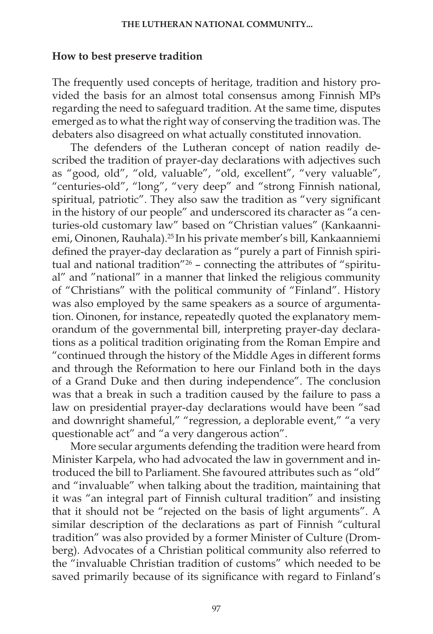## **How to best preserve tradition**

The frequently used concepts of heritage, tradition and history provided the basis for an almost total consensus among Finnish MPs regarding the need to safeguard tradition. At the same time, disputes emerged as to what the right way of conserving the tradition was. The debaters also disagreed on what actually constituted innovation.

The defenders of the Lutheran concept of nation readily described the tradition of prayer-day declarations with adjectives such as "good, old", "old, valuable", "old, excellent", "very valuable", "centuries-old", "long", "very deep" and "strong Finnish national, spiritual, patriotic". They also saw the tradition as "very significant in the history of our people" and underscored its character as "a centuries-old customary law" based on "Christian values" (Kankaanniemi, Oinonen, Rauhala).25 In his private member's bill, Kankaanniemi defined the prayer-day declaration as "purely a part of Finnish spiritual and national tradition"<sup>26</sup> - connecting the attributes of "spiritual" and "national" in a manner that linked the religious community of "Christians" with the political community of "Finland". History was also employed by the same speakers as a source of argumentation. Oinonen, for instance, repeatedly quoted the explanatory memorandum of the governmental bill, interpreting prayer-day declarations as a political tradition originating from the Roman Empire and "continued through the history of the Middle Ages in different forms and through the Reformation to here our Finland both in the days of a Grand Duke and then during independence". The conclusion was that a break in such a tradition caused by the failure to pass a law on presidential prayer-day declarations would have been "sad and downright shameful," "regression, a deplorable event," "a very questionable act" and "a very dangerous action".

More secular arguments defending the tradition were heard from Minister Karpela, who had advocated the law in government and introduced the bill to Parliament. She favoured attributes such as "old" and "invaluable" when talking about the tradition, maintaining that it was "an integral part of Finnish cultural tradition" and insisting that it should not be "rejected on the basis of light arguments". A similar description of the declarations as part of Finnish "cultural tradition" was also provided by a former Minister of Culture (Dromberg). Advocates of a Christian political community also referred to the "invaluable Christian tradition of customs" which needed to be saved primarily because of its significance with regard to Finland's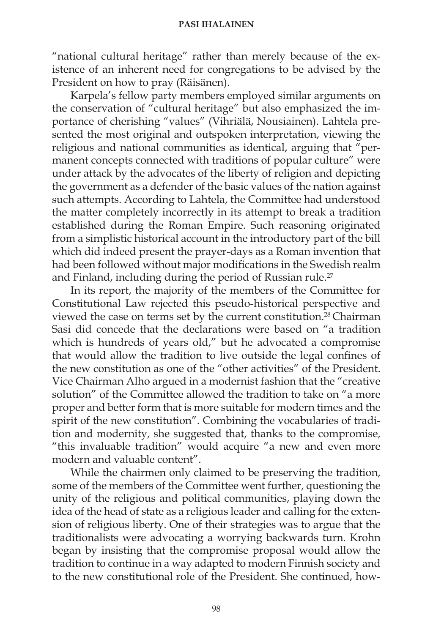"national cultural heritage" rather than merely because of the existence of an inherent need for congregations to be advised by the President on how to pray (Räisänen).

Karpela's fellow party members employed similar arguments on the conservation of "cultural heritage" but also emphasized the importance of cherishing "values" (Vihriälä, Nousiainen). Lahtela presented the most original and outspoken interpretation, viewing the religious and national communities as identical, arguing that "permanent concepts connected with traditions of popular culture" were under attack by the advocates of the liberty of religion and depicting the government as a defender of the basic values of the nation against such attempts. According to Lahtela, the Committee had understood the matter completely incorrectly in its attempt to break a tradition established during the Roman Empire. Such reasoning originated from a simplistic historical account in the introductory part of the bill which did indeed present the prayer-days as a Roman invention that had been followed without major modifications in the Swedish realm and Finland, including during the period of Russian rule.<sup>27</sup>

In its report, the majority of the members of the Committee for Constitutional Law rejected this pseudo-historical perspective and viewed the case on terms set by the current constitution.<sup>28</sup> Chairman Sasi did concede that the declarations were based on "a tradition which is hundreds of years old," but he advocated a compromise that would allow the tradition to live outside the legal confines of the new constitution as one of the "other activities" of the President. Vice Chairman Alho argued in a modernist fashion that the "creative solution" of the Committee allowed the tradition to take on "a more proper and better form that is more suitable for modern times and the spirit of the new constitution". Combining the vocabularies of tradition and modernity, she suggested that, thanks to the compromise, "this invaluable tradition" would acquire "a new and even more modern and valuable content".

While the chairmen only claimed to be preserving the tradition, some of the members of the Committee went further, questioning the unity of the religious and political communities, playing down the idea of the head of state as a religious leader and calling for the extension of religious liberty. One of their strategies was to argue that the traditionalists were advocating a worrying backwards turn. Krohn began by insisting that the compromise proposal would allow the tradition to continue in a way adapted to modern Finnish society and to the new constitutional role of the President. She continued, how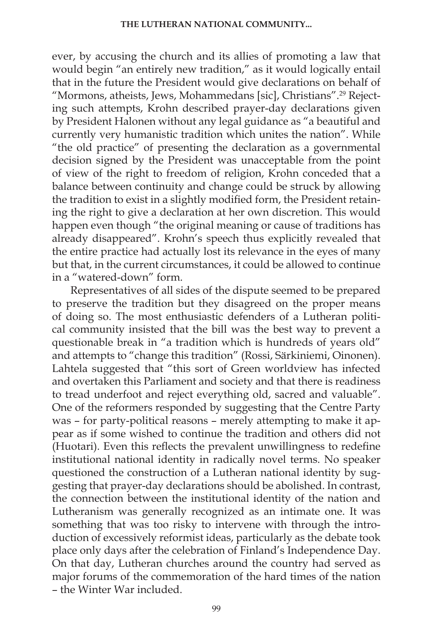ever, by accusing the church and its allies of promoting a law that would begin "an entirely new tradition," as it would logically entail that in the future the President would give declarations on behalf of "Mormons, atheists, Jews, Mohammedans [sic], Christians".29 Rejecting such attempts, Krohn described prayer-day declarations given by President Halonen without any legal guidance as "a beautiful and currently very humanistic tradition which unites the nation". While "the old practice" of presenting the declaration as a governmental decision signed by the President was unacceptable from the point of view of the right to freedom of religion, Krohn conceded that a balance between continuity and change could be struck by allowing the tradition to exist in a slightly modified form, the President retaining the right to give a declaration at her own discretion. This would happen even though "the original meaning or cause of traditions has already disappeared". Krohn's speech thus explicitly revealed that the entire practice had actually lost its relevance in the eyes of many but that, in the current circumstances, it could be allowed to continue in a "watered-down" form.

Representatives of all sides of the dispute seemed to be prepared to preserve the tradition but they disagreed on the proper means of doing so. The most enthusiastic defenders of a Lutheran political community insisted that the bill was the best way to prevent a questionable break in "a tradition which is hundreds of years old" and attempts to "change this tradition" (Rossi, Särkiniemi, Oinonen). Lahtela suggested that "this sort of Green worldview has infected and overtaken this Parliament and society and that there is readiness to tread underfoot and reject everything old, sacred and valuable". One of the reformers responded by suggesting that the Centre Party was – for party-political reasons – merely attempting to make it appear as if some wished to continue the tradition and others did not (Huotari). Even this reflects the prevalent unwillingness to redefine institutional national identity in radically novel terms. No speaker questioned the construction of a Lutheran national identity by suggesting that prayer-day declarations should be abolished. In contrast, the connection between the institutional identity of the nation and Lutheranism was generally recognized as an intimate one. It was something that was too risky to intervene with through the introduction of excessively reformist ideas, particularly as the debate took place only days after the celebration of Finland's Independence Day. On that day, Lutheran churches around the country had served as major forums of the commemoration of the hard times of the nation – the Winter War included.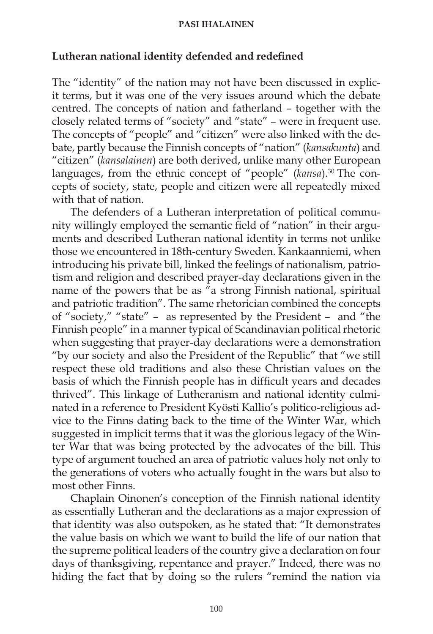## **Lutheran national identity defended and redefined**

The "identity" of the nation may not have been discussed in explicit terms, but it was one of the very issues around which the debate centred. The concepts of nation and fatherland – together with the closely related terms of "society" and "state" – were in frequent use. The concepts of "people" and "citizen" were also linked with the debate, partly because the Finnish concepts of "nation" (*kansakunta*) and "citizen" (*kansalainen*) are both derived, unlike many other European languages, from the ethnic concept of "people" (*kansa*).30 The concepts of society, state, people and citizen were all repeatedly mixed with that of nation.

The defenders of a Lutheran interpretation of political community willingly employed the semantic field of "nation" in their arguments and described Lutheran national identity in terms not unlike those we encountered in 18th-century Sweden. Kankaanniemi, when introducing his private bill, linked the feelings of nationalism, patriotism and religion and described prayer-day declarations given in the name of the powers that be as "a strong Finnish national, spiritual and patriotic tradition". The same rhetorician combined the concepts of "society," "state" – as represented by the President – and "the Finnish people" in a manner typical of Scandinavian political rhetoric when suggesting that prayer-day declarations were a demonstration "by our society and also the President of the Republic" that "we still respect these old traditions and also these Christian values on the basis of which the Finnish people has in difficult years and decades thrived". This linkage of Lutheranism and national identity culminated in a reference to President Kyösti Kallio's politico-religious advice to the Finns dating back to the time of the Winter War, which suggested in implicit terms that it was the glorious legacy of the Winter War that was being protected by the advocates of the bill. This type of argument touched an area of patriotic values holy not only to the generations of voters who actually fought in the wars but also to most other Finns.

Chaplain Oinonen's conception of the Finnish national identity as essentially Lutheran and the declarations as a major expression of that identity was also outspoken, as he stated that: "It demonstrates the value basis on which we want to build the life of our nation that the supreme political leaders of the country give a declaration on four days of thanksgiving, repentance and prayer." Indeed, there was no hiding the fact that by doing so the rulers "remind the nation via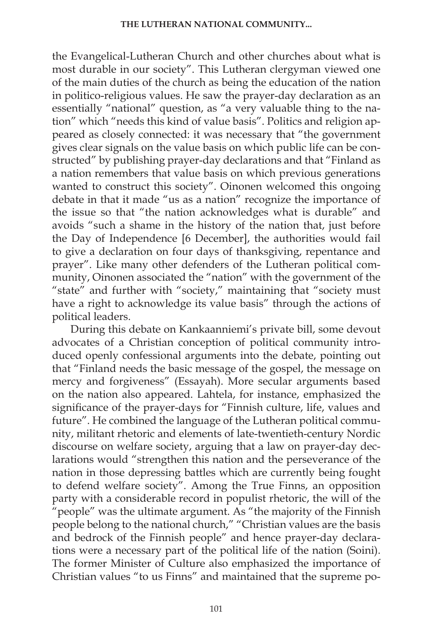the Evangelical-Lutheran Church and other churches about what is most durable in our society". This Lutheran clergyman viewed one of the main duties of the church as being the education of the nation in politico-religious values. He saw the prayer-day declaration as an essentially "national" question, as "a very valuable thing to the nation" which "needs this kind of value basis". Politics and religion appeared as closely connected: it was necessary that "the government gives clear signals on the value basis on which public life can be constructed" by publishing prayer-day declarations and that "Finland as a nation remembers that value basis on which previous generations wanted to construct this society". Oinonen welcomed this ongoing debate in that it made "us as a nation" recognize the importance of the issue so that "the nation acknowledges what is durable" and avoids "such a shame in the history of the nation that, just before the Day of Independence [6 December], the authorities would fail to give a declaration on four days of thanksgiving, repentance and prayer". Like many other defenders of the Lutheran political community, Oinonen associated the "nation" with the government of the "state" and further with "society," maintaining that "society must have a right to acknowledge its value basis" through the actions of political leaders.

During this debate on Kankaanniemi's private bill, some devout advocates of a Christian conception of political community introduced openly confessional arguments into the debate, pointing out that "Finland needs the basic message of the gospel, the message on mercy and forgiveness" (Essayah). More secular arguments based on the nation also appeared. Lahtela, for instance, emphasized the significance of the prayer-days for "Finnish culture, life, values and future". He combined the language of the Lutheran political community, militant rhetoric and elements of late-twentieth-century Nordic discourse on welfare society, arguing that a law on prayer-day declarations would "strengthen this nation and the perseverance of the nation in those depressing battles which are currently being fought to defend welfare society". Among the True Finns, an opposition party with a considerable record in populist rhetoric, the will of the "people" was the ultimate argument. As "the majority of the Finnish people belong to the national church," "Christian values are the basis and bedrock of the Finnish people" and hence prayer-day declarations were a necessary part of the political life of the nation (Soini). The former Minister of Culture also emphasized the importance of Christian values "to us Finns" and maintained that the supreme po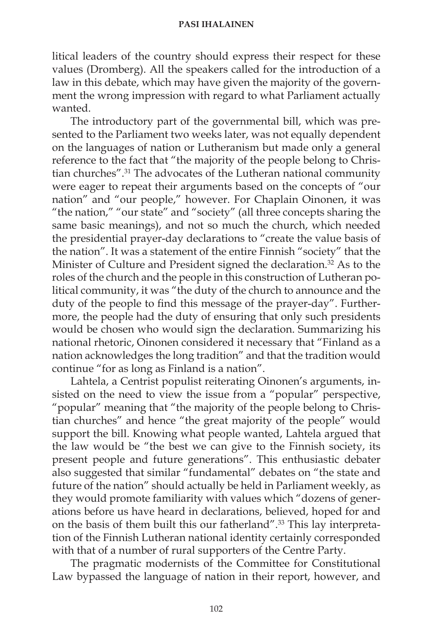litical leaders of the country should express their respect for these values (Dromberg). All the speakers called for the introduction of a law in this debate, which may have given the majority of the government the wrong impression with regard to what Parliament actually wanted.

The introductory part of the governmental bill, which was presented to the Parliament two weeks later, was not equally dependent on the languages of nation or Lutheranism but made only a general reference to the fact that "the majority of the people belong to Christian churches".31 The advocates of the Lutheran national community were eager to repeat their arguments based on the concepts of "our nation" and "our people," however. For Chaplain Oinonen, it was "the nation," "our state" and "society" (all three concepts sharing the same basic meanings), and not so much the church, which needed the presidential prayer-day declarations to "create the value basis of the nation". It was a statement of the entire Finnish "society" that the Minister of Culture and President signed the declaration.<sup>32</sup> As to the roles of the church and the people in this construction of Lutheran political community, it was "the duty of the church to announce and the duty of the people to find this message of the prayer-day". Furthermore, the people had the duty of ensuring that only such presidents would be chosen who would sign the declaration. Summarizing his national rhetoric, Oinonen considered it necessary that "Finland as a nation acknowledges the long tradition" and that the tradition would continue "for as long as Finland is a nation".

Lahtela, a Centrist populist reiterating Oinonen's arguments, insisted on the need to view the issue from a "popular" perspective, "popular" meaning that "the majority of the people belong to Christian churches" and hence "the great majority of the people" would support the bill. Knowing what people wanted, Lahtela argued that the law would be "the best we can give to the Finnish society, its present people and future generations". This enthusiastic debater also suggested that similar "fundamental" debates on "the state and future of the nation" should actually be held in Parliament weekly, as they would promote familiarity with values which "dozens of generations before us have heard in declarations, believed, hoped for and on the basis of them built this our fatherland".33 This lay interpretation of the Finnish Lutheran national identity certainly corresponded with that of a number of rural supporters of the Centre Party.

The pragmatic modernists of the Committee for Constitutional Law bypassed the language of nation in their report, however, and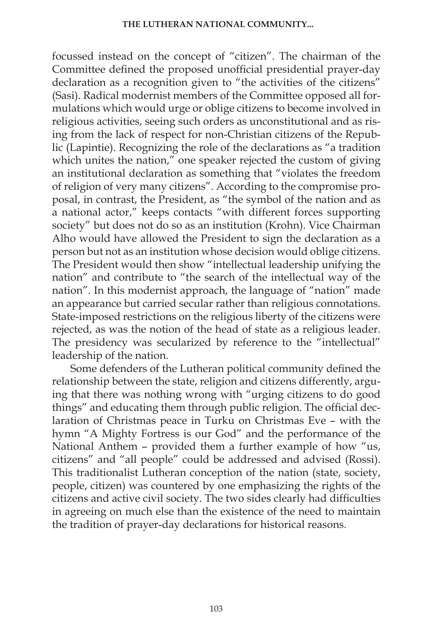focussed instead on the concept of "citizen". The chairman of the Committee defined the proposed unofficial presidential prayer-day declaration as a recognition given to "the activities of the citizens" (Sasi). Radical modernist members of the Committee opposed all formulations which would urge or oblige citizens to become involved in religious activities, seeing such orders as unconstitutional and as rising from the lack of respect for non-Christian citizens of the Republic (Lapintie). Recognizing the role of the declarations as "a tradition which unites the nation," one speaker rejected the custom of giving an institutional declaration as something that "violates the freedom of religion of very many citizens". According to the compromise proposal, in contrast, the President, as "the symbol of the nation and as a national actor," keeps contacts "with different forces supporting society" but does not do so as an institution (Krohn). Vice Chairman Alho would have allowed the President to sign the declaration as a person but not as an institution whose decision would oblige citizens. The President would then show "intellectual leadership unifying the nation" and contribute to "the search of the intellectual way of the nation". In this modernist approach, the language of "nation" made an appearance but carried secular rather than religious connotations. State-imposed restrictions on the religious liberty of the citizens were rejected, as was the notion of the head of state as a religious leader. The presidency was secularized by reference to the "intellectual" leadership of the nation.

Some defenders of the Lutheran political community defined the relationship between the state, religion and citizens differently, arguing that there was nothing wrong with "urging citizens to do good things" and educating them through public religion. The official declaration of Christmas peace in Turku on Christmas Eve – with the hymn "A Mighty Fortress is our God" and the performance of the National Anthem – provided them a further example of how "us, citizens" and "all people" could be addressed and advised (Rossi). This traditionalist Lutheran conception of the nation (state, society, people, citizen) was countered by one emphasizing the rights of the citizens and active civil society. The two sides clearly had difficulties in agreeing on much else than the existence of the need to maintain the tradition of prayer-day declarations for historical reasons.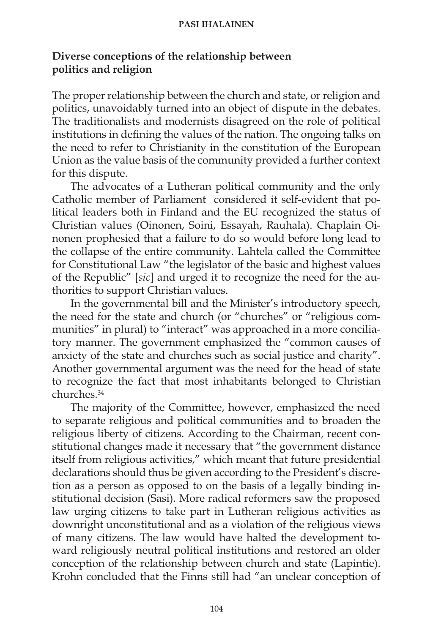# **Diverse conceptions of the relationship between politics and religion**

The proper relationship between the church and state, or religion and politics, unavoidably turned into an object of dispute in the debates. The traditionalists and modernists disagreed on the role of political institutions in defining the values of the nation. The ongoing talks on the need to refer to Christianity in the constitution of the European Union as the value basis of the community provided a further context for this dispute.

The advocates of a Lutheran political community and the only Catholic member of Parliament considered it self-evident that political leaders both in Finland and the EU recognized the status of Christian values (Oinonen, Soini, Essayah, Rauhala). Chaplain Oinonen prophesied that a failure to do so would before long lead to the collapse of the entire community. Lahtela called the Committee for Constitutional Law "the legislator of the basic and highest values of the Republic" [*sic*] and urged it to recognize the need for the authorities to support Christian values.

In the governmental bill and the Minister's introductory speech, the need for the state and church (or "churches" or "religious communities" in plural) to "interact" was approached in a more conciliatory manner. The government emphasized the "common causes of anxiety of the state and churches such as social justice and charity". Another governmental argument was the need for the head of state to recognize the fact that most inhabitants belonged to Christian churches.34

The majority of the Committee, however, emphasized the need to separate religious and political communities and to broaden the religious liberty of citizens. According to the Chairman, recent constitutional changes made it necessary that "the government distance itself from religious activities," which meant that future presidential declarations should thus be given according to the President's discretion as a person as opposed to on the basis of a legally binding institutional decision (Sasi). More radical reformers saw the proposed law urging citizens to take part in Lutheran religious activities as downright unconstitutional and as a violation of the religious views of many citizens. The law would have halted the development toward religiously neutral political institutions and restored an older conception of the relationship between church and state (Lapintie). Krohn concluded that the Finns still had "an unclear conception of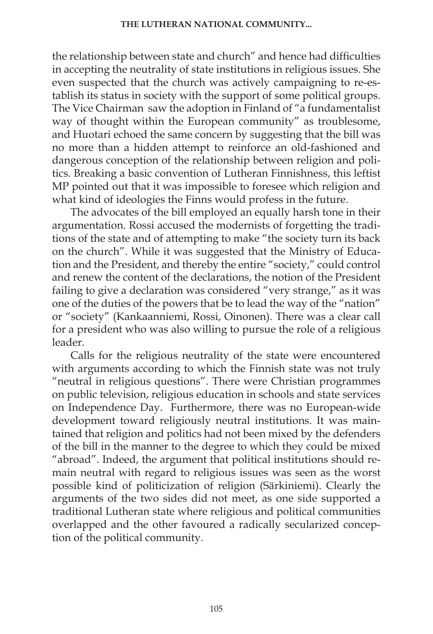the relationship between state and church" and hence had difficulties in accepting the neutrality of state institutions in religious issues. She even suspected that the church was actively campaigning to re-establish its status in society with the support of some political groups. The Vice Chairman saw the adoption in Finland of "a fundamentalist way of thought within the European community" as troublesome, and Huotari echoed the same concern by suggesting that the bill was no more than a hidden attempt to reinforce an old-fashioned and dangerous conception of the relationship between religion and politics. Breaking a basic convention of Lutheran Finnishness, this leftist MP pointed out that it was impossible to foresee which religion and what kind of ideologies the Finns would profess in the future.

The advocates of the bill employed an equally harsh tone in their argumentation. Rossi accused the modernists of forgetting the traditions of the state and of attempting to make "the society turn its back on the church". While it was suggested that the Ministry of Education and the President, and thereby the entire "society," could control and renew the content of the declarations, the notion of the President failing to give a declaration was considered "very strange," as it was one of the duties of the powers that be to lead the way of the "nation" or "society" (Kankaanniemi, Rossi, Oinonen). There was a clear call for a president who was also willing to pursue the role of a religious leader.

Calls for the religious neutrality of the state were encountered with arguments according to which the Finnish state was not truly "neutral in religious questions". There were Christian programmes on public television, religious education in schools and state services on Independence Day. Furthermore, there was no European-wide development toward religiously neutral institutions. It was maintained that religion and politics had not been mixed by the defenders of the bill in the manner to the degree to which they could be mixed "abroad". Indeed, the argument that political institutions should remain neutral with regard to religious issues was seen as the worst possible kind of politicization of religion (Särkiniemi). Clearly the arguments of the two sides did not meet, as one side supported a traditional Lutheran state where religious and political communities overlapped and the other favoured a radically secularized conception of the political community.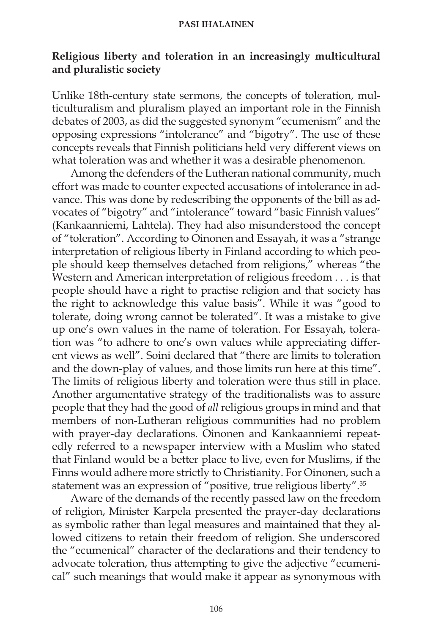# **Religious liberty and toleration in an increasingly multicultural and pluralistic society**

Unlike 18th-century state sermons, the concepts of toleration, multiculturalism and pluralism played an important role in the Finnish debates of 2003, as did the suggested synonym "ecumenism" and the opposing expressions "intolerance" and "bigotry". The use of these concepts reveals that Finnish politicians held very different views on what toleration was and whether it was a desirable phenomenon.

Among the defenders of the Lutheran national community, much effort was made to counter expected accusations of intolerance in advance. This was done by redescribing the opponents of the bill as advocates of "bigotry" and "intolerance" toward "basic Finnish values" (Kankaanniemi, Lahtela). They had also misunderstood the concept of "toleration". According to Oinonen and Essayah, it was a "strange interpretation of religious liberty in Finland according to which people should keep themselves detached from religions," whereas "the Western and American interpretation of religious freedom . . . is that people should have a right to practise religion and that society has the right to acknowledge this value basis". While it was "good to tolerate, doing wrong cannot be tolerated". It was a mistake to give up one's own values in the name of toleration. For Essayah, toleration was "to adhere to one's own values while appreciating different views as well". Soini declared that "there are limits to toleration and the down-play of values, and those limits run here at this time". The limits of religious liberty and toleration were thus still in place. Another argumentative strategy of the traditionalists was to assure people that they had the good of *all* religious groups in mind and that members of non-Lutheran religious communities had no problem with prayer-day declarations. Oinonen and Kankaanniemi repeatedly referred to a newspaper interview with a Muslim who stated that Finland would be a better place to live, even for Muslims, if the Finns would adhere more strictly to Christianity. For Oinonen, such a statement was an expression of "positive, true religious liberty".35

Aware of the demands of the recently passed law on the freedom of religion, Minister Karpela presented the prayer-day declarations as symbolic rather than legal measures and maintained that they allowed citizens to retain their freedom of religion. She underscored the "ecumenical" character of the declarations and their tendency to advocate toleration, thus attempting to give the adjective "ecumenical" such meanings that would make it appear as synonymous with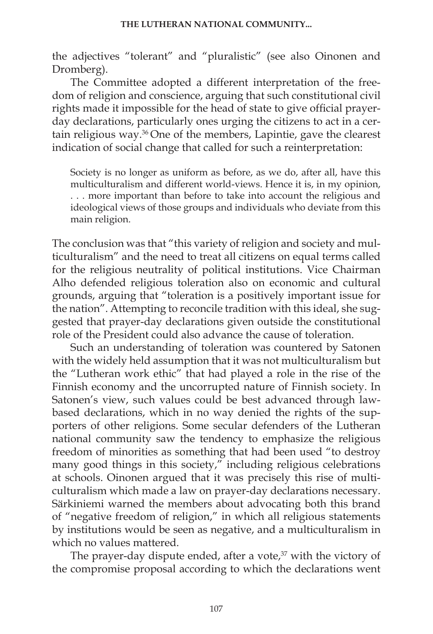the adjectives "tolerant" and "pluralistic" (see also Oinonen and Dromberg).

The Committee adopted a different interpretation of the freedom of religion and conscience, arguing that such constitutional civil rights made it impossible for the head of state to give official prayerday declarations, particularly ones urging the citizens to act in a certain religious way.36 One of the members, Lapintie, gave the clearest indication of social change that called for such a reinterpretation:

Society is no longer as uniform as before, as we do, after all, have this multiculturalism and different world-views. Hence it is, in my opinion, . . . more important than before to take into account the religious and ideological views of those groups and individuals who deviate from this main religion.

The conclusion was that "this variety of religion and society and multiculturalism" and the need to treat all citizens on equal terms called for the religious neutrality of political institutions. Vice Chairman Alho defended religious toleration also on economic and cultural grounds, arguing that "toleration is a positively important issue for the nation". Attempting to reconcile tradition with this ideal, she suggested that prayer-day declarations given outside the constitutional role of the President could also advance the cause of toleration.

Such an understanding of toleration was countered by Satonen with the widely held assumption that it was not multiculturalism but the "Lutheran work ethic" that had played a role in the rise of the Finnish economy and the uncorrupted nature of Finnish society. In Satonen's view, such values could be best advanced through lawbased declarations, which in no way denied the rights of the supporters of other religions. Some secular defenders of the Lutheran national community saw the tendency to emphasize the religious freedom of minorities as something that had been used "to destroy many good things in this society," including religious celebrations at schools. Oinonen argued that it was precisely this rise of multiculturalism which made a law on prayer-day declarations necessary. Särkiniemi warned the members about advocating both this brand of "negative freedom of religion," in which all religious statements by institutions would be seen as negative, and a multiculturalism in which no values mattered.

The prayer-day dispute ended, after a vote,<sup>37</sup> with the victory of the compromise proposal according to which the declarations went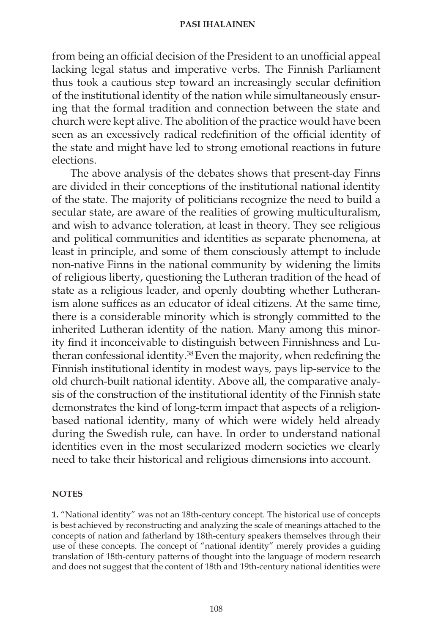from being an official decision of the President to an unofficial appeal lacking legal status and imperative verbs. The Finnish Parliament thus took a cautious step toward an increasingly secular definition of the institutional identity of the nation while simultaneously ensuring that the formal tradition and connection between the state and church were kept alive. The abolition of the practice would have been seen as an excessively radical redefinition of the official identity of the state and might have led to strong emotional reactions in future elections.

The above analysis of the debates shows that present-day Finns are divided in their conceptions of the institutional national identity of the state. The majority of politicians recognize the need to build a secular state, are aware of the realities of growing multiculturalism, and wish to advance toleration, at least in theory. They see religious and political communities and identities as separate phenomena, at least in principle, and some of them consciously attempt to include non-native Finns in the national community by widening the limits of religious liberty, questioning the Lutheran tradition of the head of state as a religious leader, and openly doubting whether Lutheranism alone suffices as an educator of ideal citizens. At the same time, there is a considerable minority which is strongly committed to the inherited Lutheran identity of the nation. Many among this minority find it inconceivable to distinguish between Finnishness and Lutheran confessional identity.38 Even the majority, when redefining the Finnish institutional identity in modest ways, pays lip-service to the old church-built national identity. Above all, the comparative analysis of the construction of the institutional identity of the Finnish state demonstrates the kind of long-term impact that aspects of a religionbased national identity, many of which were widely held already during the Swedish rule, can have. In order to understand national identities even in the most secularized modern societies we clearly need to take their historical and religious dimensions into account.

#### **NOTES**

**1.** "National identity" was not an 18th-century concept. The historical use of concepts is best achieved by reconstructing and analyzing the scale of meanings attached to the concepts of nation and fatherland by 18th-century speakers themselves through their use of these concepts. The concept of "national identity" merely provides a guiding translation of 18th-century patterns of thought into the language of modern research and does not suggest that the content of 18th and 19th-century national identities were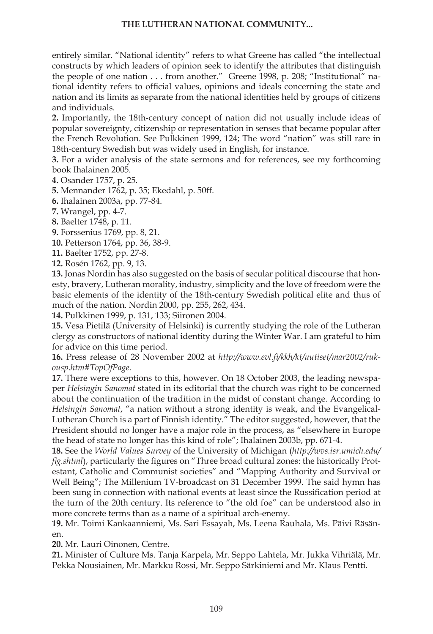## **THE LUTHERAN NATIONAL COMMUNITY...**

entirely similar. "National identity" refers to what Greene has called "the intellectual constructs by which leaders of opinion seek to identify the attributes that distinguish the people of one nation . . . from another." Greene 1998, p. 208; "Institutional" national identity refers to official values, opinions and ideals concerning the state and nation and its limits as separate from the national identities held by groups of citizens and individuals.

**2.** Importantly, the 18th-century concept of nation did not usually include ideas of popular sovereignty, citizenship or representation in senses that became popular after the French Revolution. See Pulkkinen 1999, 124; The word "nation" was still rare in 18th-century Swedish but was widely used in English, for instance.

**3.** For a wider analysis of the state sermons and for references, see my forthcoming book Ihalainen 2005.

**4.** Osander 1757, p. 25.

**5.** Mennander 1762, p. 35; Ekedahl, p. 50ff.

**6.** Ihalainen 2003a, pp. 77-84.

**7.** Wrangel, pp. 4-7.

**8.** Baelter 1748, p. 11.

**9.** Forssenius 1769, pp. 8, 21.

**10.** Petterson 1764, pp. 36, 38-9.

**11.** Baelter 1752, pp. 27-8.

**12.** Rosén 1762, pp. 9, 13.

**13.** Jonas Nordin has also suggested on the basis of secular political discourse that honesty, bravery, Lutheran morality, industry, simplicity and the love of freedom were the basic elements of the identity of the 18th-century Swedish political elite and thus of much of the nation. Nordin 2000, pp. 255, 262, 434.

**14.** Pulkkinen 1999, p. 131, 133; Siironen 2004.

**15.** Vesa Pietilä (University of Helsinki) is currently studying the role of the Lutheran clergy as constructors of national identity during the Winter War. I am grateful to him for advice on this time period.

**16.** Press release of 28 November 2002 at *http://www.evl.fi/kkh/kt/uutiset/mar2002/rukousp.htm#TopOfPage.*

**17.** There were exceptions to this, however. On 18 October 2003, the leading newspaper *Helsingin Sanomat* stated in its editorial that the church was right to be concerned about the continuation of the tradition in the midst of constant change. According to *Helsingin Sanomat*, "a nation without a strong identity is weak, and the Evangelical-Lutheran Church is a part of Finnish identity." The editor suggested, however, that the President should no longer have a major role in the process, as "elsewhere in Europe the head of state no longer has this kind of role"; Ihalainen 2003b, pp. 671-4.

**18.** See the *World Values Survey* of the University of Michigan (*http://wvs.isr.umich.edu/ fig.shtml*), particularly the figures on "Three broad cultural zones: the historically Protestant, Catholic and Communist societies" and "Mapping Authority and Survival or Well Being"; The Millenium TV-broadcast on 31 December 1999. The said hymn has been sung in connection with national events at least since the Russification period at the turn of the 20th century. Its reference to "the old foe" can be understood also in more concrete terms than as a name of a spiritual arch-enemy.

**19.** Mr. Toimi Kankaanniemi, Ms. Sari Essayah, Ms. Leena Rauhala, Ms. Päivi Räsänen.

**20.** Mr. Lauri Oinonen, Centre.

**21.** Minister of Culture Ms. Tanja Karpela, Mr. Seppo Lahtela, Mr. Jukka Vihriälä, Mr. Pekka Nousiainen, Mr. Markku Rossi, Mr. Seppo Särkiniemi and Mr. Klaus Pentti.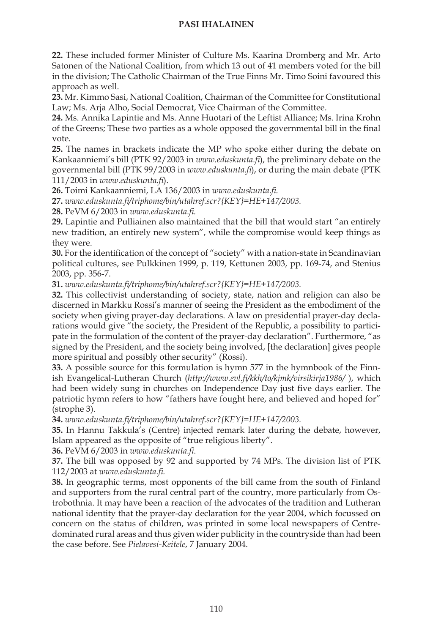**22.** These included former Minister of Culture Ms. Kaarina Dromberg and Mr. Arto Satonen of the National Coalition, from which 13 out of 41 members voted for the bill in the division; The Catholic Chairman of the True Finns Mr. Timo Soini favoured this approach as well.

**23.** Mr. Kimmo Sasi, National Coalition, Chairman of the Committee for Constitutional Law; Ms. Arja Alho, Social Democrat, Vice Chairman of the Committee.

**24.** Ms. Annika Lapintie and Ms. Anne Huotari of the Leftist Alliance; Ms. Irina Krohn of the Greens; These two parties as a whole opposed the governmental bill in the final vote.

**25.** The names in brackets indicate the MP who spoke either during the debate on Kankaanniemi's bill (PTK 92/2003 in *www.eduskunta.fi*), the preliminary debate on the governmental bill (PTK 99/2003 in *www.eduskunta.fi*), or during the main debate (PTK 111/2003 in *www.eduskunta.fi*).

**26.** Toimi Kankaanniemi, LA 136/2003 in *www.eduskunta.fi.*

**27.** *www.eduskunta.fi/triphome/bin/utahref.scr?{KEY}=HE+147/2003.*

**28.** PeVM 6/2003 in *www.eduskunta.fi.*

**29.** Lapintie and Pulliainen also maintained that the bill that would start "an entirely new tradition, an entirely new system", while the compromise would keep things as they were.

**30.** For the identification of the concept of "society" with a nation-state in Scandinavian political cultures, see Pulkkinen 1999, p. 119, Kettunen 2003, pp. 169-74, and Stenius 2003, pp. 356-7.

**31.** *www.eduskunta.fi/triphome/bin/utahref.scr?{KEY}=HE+147/2003.*

**32.** This collectivist understanding of society, state, nation and religion can also be discerned in Markku Rossi's manner of seeing the President as the embodiment of the society when giving prayer-day declarations. A law on presidential prayer-day declarations would give "the society, the President of the Republic, a possibility to participate in the formulation of the content of the prayer-day declaration". Furthermore, "as signed by the President, and the society being involved, [the declaration] gives people more spiritual and possibly other security" (Rossi).

**33.** A possible source for this formulation is hymn 577 in the hymnbook of the Finnish Evangelical-Lutheran Church (*http://www.evl.fi/kkh/to/kjmk/virsikirja1986/* ), which had been widely sung in churches on Independence Day just five days earlier. The patriotic hymn refers to how "fathers have fought here, and believed and hoped for" (strophe 3).

**34.** *www.eduskunta.fi/triphome/bin/utahref.scr?{KEY}=HE+147/2003.*

**35.** In Hannu Takkula's (Centre) injected remark later during the debate, however, Islam appeared as the opposite of "true religious liberty".

**36.** PeVM 6/2003 in *www.eduskunta.fi*.

**37.** The bill was opposed by 92 and supported by 74 MPs. The division list of PTK 112/2003 at *www.eduskunta.fi.*

**38.** In geographic terms, most opponents of the bill came from the south of Finland and supporters from the rural central part of the country, more particularly from Ostrobothnia. It may have been a reaction of the advocates of the tradition and Lutheran national identity that the prayer-day declaration for the year 2004, which focussed on concern on the status of children, was printed in some local newspapers of Centredominated rural areas and thus given wider publicity in the countryside than had been the case before. See *Pielavesi-Keitele*, 7 January 2004.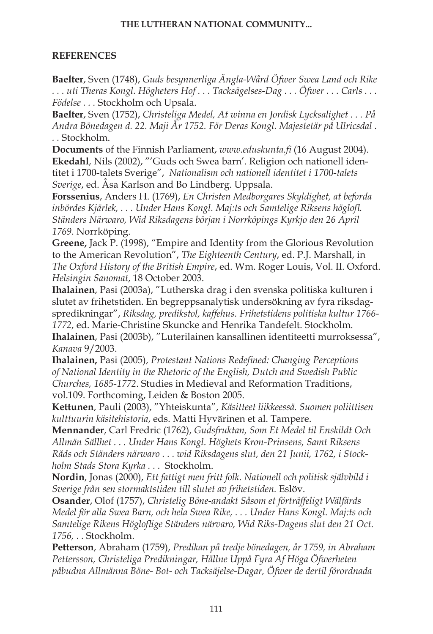## **THE LUTHERAN NATIONAL COMMUNITY...**

## **REFERENCES**

**Baelter**, Sven (1748), *Guds besynnerliga Ängla-Wård Öfwer Swea Land och Rike . . . uti Theras Kongl. Högheters Hof . . . Tacksägelses-Dag . . . Öfwer . . . Carls . . . Födelse . . .* Stockholm och Upsala.

**Baelter**, Sven (1752), *Christeliga Medel, At winna en Jordisk Lycksalighet . . . På Andra Bönedagen d. 22. Maji År 1752. För Deras Kongl. Majestetär på Ulricsdal . . .* Stockholm.

**Documents** of the Finnish Parliament, *www.eduskunta.fi* (16 August 2004). Ekedahl, Nils (2002), "'Guds och Swea barn'. Religion och nationell identitet i 1700-talets Sverige", *Nationalism och nationell identitet i 1700-talets Sverige*, ed. Åsa Karlson and Bo Lindberg. Uppsala.

**Forssenius**, Anders H. (1769), *En Christen Medborgares Skyldighet, at beforda inbördes Kjärlek, . . . Under Hans Kongl. Maj:ts och Samtelige Riksens höglofl. Ständers Närwaro, Wid Riksdagens början i Norrköpings Kyrkjo den 26 April 1769*. Norrköping.

**Greene,** Jack P. (1998), "Empire and Identity from the Glorious Revolution to the American Revolution", *The Eighteenth Century*, ed. P.J. Marshall, in *The Oxford History of the British Empire*, ed. Wm. Roger Louis, Vol. II. Oxford. *Helsingin Sanomat*, 18 October 2003.

**Ihalainen**, Pasi (2003a), "Lutherska drag i den svenska politiska kulturen i slutet av frihetstiden. En begreppsanalytisk undersökning av fyra riksdagspredikningar", *Riksdag, predikstol, kaffehus. Frihetstidens politiska kultur 1766- 1772*, ed. Marie-Christine Skuncke and Henrika Tandefelt. Stockholm.

**Ihalainen**, Pasi (2003b), "Luterilainen kansallinen identiteetti murroksessa", *Kanava* 9/2003.

**Ihalainen,** Pasi (2005), *Protestant Nations Redefined: Changing Perceptions of National Identity in the Rhetoric of the English, Dutch and Swedish Public Churches, 1685-1772*. Studies in Medieval and Reformation Traditions, vol.109. Forthcoming, Leiden & Boston 2005.

**Kettunen**, Pauli (2003), "Yhteiskunta", *Käsitteet liikkeessä. Suomen poliittisen kulttuurin käsitehistoria*, eds. Matti Hyvärinen et al. Tampere.

**Mennander**, Carl Fredric (1762), *Gudsfruktan, Som Et Medel til Enskildt Och Allmän Sällhet . . . Under Hans Kongl. Höghets Kron-Prinsens, Samt Riksens Råds och Ständers närwaro . . . wid Riksdagens slut, den 21 Junii, 1762, i Stockholm Stads Stora Kyrka . . .* Stockholm.

**Nordin**, Jonas (2000), *Ett fattigt men fritt folk. Nationell och politisk självbild i Sverige från sen stormaktstiden till slutet av frihetstiden.* Eslöv.

**Osander**, Olof (1757), *Christelig Böne-andakt Såsom et förträffeligt Wälfärds Medel för alla Swea Barn, och hela Swea Rike, . . . Under Hans Kongl. Maj:ts och Samtelige Rikens Högloflige Ständers närvaro, Wid Riks-Dagens slut den 21 Oct. 1756, . .* Stockholm.

**Petterson**, Abraham (1759), *Predikan på tredje bönedagen, år 1759, in Abraham Pettersson, Christeliga Predikningar, Hållne Uppå Fyra Af Höga Öfwerheten påbudna Allmänna Böne- Bot- och Tacksäjelse-Dagar, Öfwer de dertil förordnada*